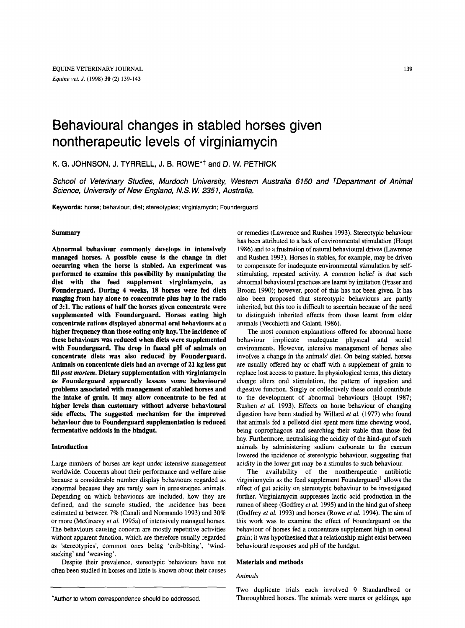# Behavioural changes in stabled horses given nontherapeutic levels of virginiamycin

**K.** G. JOHNSON, J. TYRRELL, J. B. ROWE\*t **and** D. W. PETHICK

*School of Veterinary Studies, Murdoch University, Western Australia 6150 and tDepartment of Animal Science, Universiw of New England, N.S. W 2351, Australia.* 

Keywords: horse; behaviour; diet; stereotypies; virginiamycin; Founderguard

# Summary

Abnormal behaviour commonly develops in intensively managed horses. A possible cause is the change in diet occurring when the horse is stabled. An experiment was performed to examine this possibility by manipulating the diet with the feed supplement virginiamycin, as Founderguard. During **4** weeks, **18** horses were fed diets ranging from hay alone to concentrate plus hay in the ratio of **3:l.** The rations of half the horses given concentrate were supplemented with Founderguard. Horses eating high concentrate rations displayed abnormal oral behaviours at a higher frequency than those eating only hay. The incidence of these behaviours was reduced when diets were supplemented with Founderguard. The drop in faecal pH of animals on concentrate diets was also reduced by Founderguard. Animals on concentrate diets had an average of **21** kg **less** gut fill *post mortem.* Dietary supplementation with virginiamycin as Founderguard apparently lessens some behavioural problems associated with management of stabled horses and the intake of grain. It may allow concentrate to be fed at higher levels than customary without adverse behavioural side effects. The suggested mechanism for the improved behaviour due to Founderguard supplementation is reduced fermentative acidosis in the hindgut.

## Introduction

Large numbers of horses are kept under intensive management worldwide. Concerns about their performance and welfare arise because a considerable number display behaviours regarded as abnormal because they are rarely seen in unrestrained animals. Depending on which behaviours are included, how they are defined, and the sample studied, the incidence has been estimated at between 7% (Canali and Normando 1993) and 30% or more (McGreevy *et al.* 1995a) of intensively managed horses. The behaviours causing concern are mostly repetitive activities without apparent function, which are therefore usually regarded as 'stereotypies', common ones being 'crib-biting', 'windsucking' and 'weaving'.

Despite their prevalence, stereotypic behaviours have not often been studied in horses and little **is** known about their causes

or remedies (Lawrence and Rushen 1993). Stereotypic behaviour has been attributed to a lack of environmental stimulation (Houpt 1986) and to a frustration of natural behavioural drives (Lawrence and Rushen 1993). Horses in stables, for example, may be driven to compensate for inadequate environmental stimulation by selfstimulating, repeated activity. A common belief is that such abnormal behavioural practices are learnt by imitation (Fraser and Broom 1990); however, proof of **this** has not been given. It has also been proposed that stereotypic behaviours are partly inherited, but this too is difficult to ascertain because of the need to distinguish inherited effects from those learnt from older animals (Vecchiotti and Galanti 1986).

The most common explanations offered for abnormal horse behaviour implicate inadequate physical and social environments. However, intensive management of horses also involves a change in the animals' diet. On being stabled, horses are usually offered hay or chaff with a supplement of grain to replace lost access to pasture. In physiological terms, this dietary change alters oral stimulation, the pattern of ingestion and digestive function. Singly or collectively these could contribute to the development of abnormal behaviours (Houpt 1987; Rushen *et* al. 1993). Effects on horse behaviour of changing digestion have been studied by Willard *et* al. (1977) who found that animals fed a pelleted diet spent more time chewing wood, being coprophagous and searching their stable than those fed hay. Furthermore, neutralising the acidity of the hind-gut of such animals by administering sodium carbonate to the caecum lowered the incidence of stereotypic behaviour, suggesting that acidity in the lower gut may be a stimulus to such behaviour,

The availability of the nontherapeutic antibiotic virginiamycin as the feed supplement Founderguard' allows the effect of gut acidity on stereotypic behaviour to be investigated further. Virginiamycin suppresses lactic acid production in the rumen of sheep (Godfrey *et al.* 1995) and in the hind gut of sheep (Godfrey *et* al. 1993) and horses (Rowe *et al.* 1994). The aim of this work was to examine the effect of Founderguard on the behaviour of horses fed a concentrate supplement high in cereal grain; it was hypothesised that a relationship might exist between behavioural responses and pH of the hindgut.

## Materials and methods

# *Animals*

Two duplicate trials each involved 9 Standardbred or Thoroughbred horses. The animals were mares or geldings, age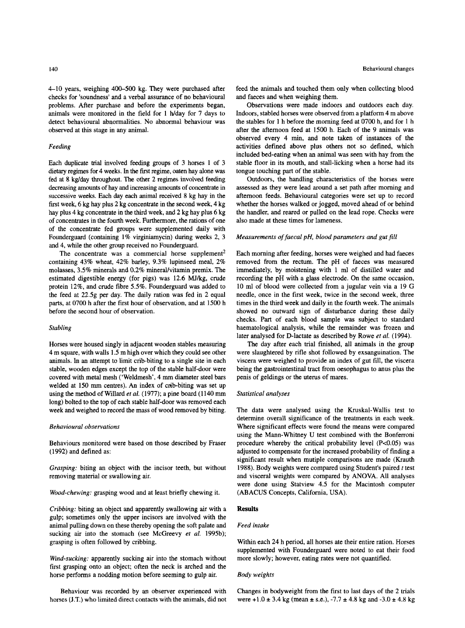4-10 years, weighing 400-500 kg. They were purchased after checks for 'soundness' and a verbal assurance of no behavioural problems. After purchase and before the experiments began, animals were monitored in the field for 1 h/day for 7 days to detect behavioural abnormalities. No abnormal behaviour was observed at this stage in any animal.

## *Feeding*

Each duplicate trial involved feeding groups of 3 horses 1 of **3**  dietary regimes for 4 weeks. In the first regime. oaten hay alone was fed at 8 kg/day throughout. The other 2 regimes involved feeding decreasing amounts of hay and increasing amounts of concentrate in successive weeks. Each day each animal received **8** kg hay in the first week, **6** kg hay plus 2 kg concentrate in the second week, 4 kg hay plus 4 kg concentrate in the third week, and 2 kg hay plus **6** kg of concentrates in the fourth week. Furthermore, the rations of one of the concentrate fed groups were supplemented daily with Founderguard (containing 1% virginiamycin) during weeks **2,** 3 and 4, while the other group received no Founderguard.

The concentrate was a commercial horse supplement<sup>2</sup> containing 43% wheat, 42% barley, 9.3% lupinseed meal, 2% molasses,  $3.5\%$  minerals and  $0.2\%$  mineral/vitamin premix. The estimated digestible energy (for pigs) was 12.6 MJ/kg, crude protein 12%. and crude fibre 5.5%. Founderguard was added to the feed at 22.5g per day. The daily ration was fed in 2 equal parts, at 0700 h after the first hour of observation, and at 1500 h before the second hour of observation.

#### *Stabling*

Horses were housed singly in adjacent wooden stables measuring 4 m square, with walls 1.5 m high over which they could see other animals. In an attempt to limit crib-biting to a single site in each stable, wooden edges except the top of the stable half-door were covered with metal mesh ('Weldmesh', 4 mm diameter steel bars welded at 150 mm centres). An index of crib-biting was set up using the method of Willard et al. (1977); a pine board (1140 mm long) bolted to the top of each stable half-door was removed each week and weighed to record the mass of wood removed by biting.

### *Behavioural observations*

Behaviours monitored were based on those described by Fraser (1992) and defined as:

*Grasping:* biting an object with the incisor teeth, but without removing material **or** swallowing air.

*Wood-chewing:* grasping wood and at least briefly chewing it.

*Cribbing:* biting an object and apparently swallowing air with a gulp; sometimes only the upper incisors are involved with the animal pulling down on these thereby opening the soft palate and sucking air into the stomach (see McGreevy *et al.* 1995b); grasping is often followed by cribbing.

*Wind-sucking:* apparently sucking air into the stomach without first grasping onto an object; often the neck is arched and the horse performs a nodding motion before seeming to gulp air.

Behaviour was recorded by an observer experienced with horses (J.T.) who limited direct contacts with the animals, did not

feed the animals and touched them only when collecting blood and faeces and when weighing them.

Observations were made indoors and outdoors each day. Indoors, stabled horses were observed from a platform 4 m above the stables for 1 h before the morning feed at 0700 h, and for 1 h after the afternoon feed at 1500 h. Each of the 9 animals was observed every 4 min, and note taken of instances of the activities defined above plus others not *so* defined, which included bed-eating when an animal was seen with hay from the stable floor in its mouth, and stall-licking when a horse had its tongue touching part of the stable.

Outdoors, the handling characteristics of the horses were assessed as they were lead around a set path after morning and afternoon feeds. Behavioural categories were set up to record whether the horses walked or jogged, moved ahead of or behind the handler, and reared or pulled on the lead rope. Checks were also made at these times for lameness.

# *Measurements* of *faecal pH, blood parameters and gut fill*

Each morning after feeding, horses were weighed and had faeces removed from the rectum. The pH of faeces was measured immediately, by moistening with 1 ml **of** distilled water and recording the pH with a glass electrode. On the same occasion, 10 ml of blood were collected from a jugular vein via a 19 *G*  needle, once in the first week, twice in the second week, three times in the third week and daily in the fourth week. The animals showed no outward sign of disturbance during these daily checks. Part of each blood sample was subject to standard haematological analysis, while the remainder was frozen and later analysed for D-lactate as described by Rowe *et al.* (1994).

The day after each trial finished, all animals in the group were slaughtered by rifle shot followed by exsanguination. The viscera were weighed to provide an index of gut fill, the viscera being the gastrointestinal tract from oesophagus to anus plus the penis of geldings or the uterus of mares.

#### *Statistical analyses*

The data were analysed using the Kruskal-Wallis test to determine overall significance of the treatments in each week. Where significant effects were found the means were compared using the Mann-Whitney U test combined with the Bonferroni procedure whereby the critical probability level  $(P<0.05)$  was adjusted to compensate for the increased probability of finding a significant result when mutiple comparisons are made (Krauth 1988). Body weights were compared using Student's paired *t* test and visceral weights were compared by ANOVA. All analyses were done using Statview 4.5 for the Macintosh computer (ABACUS Concepts, California, USA).

# **Results**

### *Feed intake*

Within each 24 h period, all horses ate their entire ration. Horses supplemented with Founderguard were noted to eat their food more slowly; however, eating rates were not quantified.

## *Body weights*

Changes in bodyweight from the first to last days of the 2 trials were  $+1.0 \pm 3.4$  kg (mean  $\pm$  s.e.),  $-7.7 \pm 4.8$  kg and  $-3.0 \pm 4.8$  kg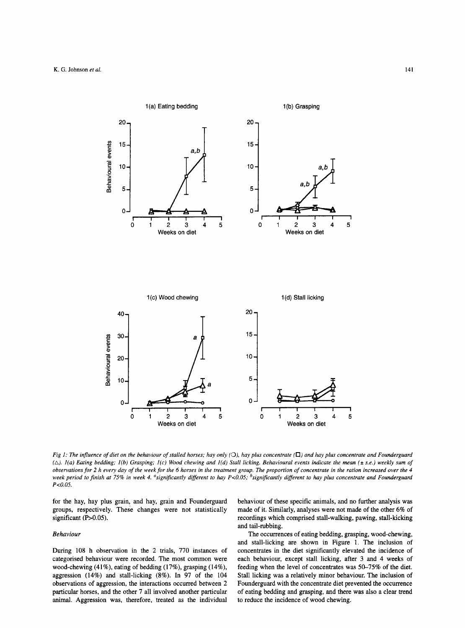

*Fig 1: The influence of diet on the behaviour of stalled horses; hay only (O), hay plus concentrate (* $\square$ *) and hay plus concentrate and Founderguard* **(A).** *l(a) Eating bedding; l(b) Grasping; l(c) Wood chewing and l(d) Stall licking. Behavioural events indicate the mean (i s.e.) weekly sum of observations for 2 h every day of the week for the 6 horses in the treatment group. The proportion of concentrate in the ration increased over the 4 week period to finish at* **75%** *in week 4. asignijcantly dijerent to hay Px0.05; bsignijicantly different to hay plus concentrate and Founderguard Px0.05.* 

for the hay, hay plus grain, and hay, grain and Founderguard groups, respectively. These changes were not statistically significant (P>0.05).

# *Behaviour*

During 108 h observation in the 2 trials, 770 instances of categorised behaviour were recorded. The most common were wood-chewing (41%), eating of bedding (17%), grasping (14%), aggression (14%) and stall-licking **(8%).** In 97 of the 104 observations of aggression, the interactions occurred between 2 particular horses, and the other 7 all involved another particular animal. Aggression was, therefore, treated as the individual behaviour of these specific animals, and no further analysis was made of it. Similarly, analyses were not made of the other 6% of recordings which comprised stall-walking, pawing, stall-kicking and tail-rubbing.

The occurrences of eating bedding, grasping, wood-chewing, and stall-licking are shown in Figure 1. The inclusion of concentrates in the diet significantly elevated the incidence of each behaviour, except stall licking, after 3 and 4 weeks of feeding when the level of concentrates was 50-75% of the diet. Stall licking was a relatively minor behaviour. The inclusion of Founderguard with the concentrate diet prevented the occurrence of eating bedding and grasping, and there was also a clear trend to reduce the incidence of wood chewing.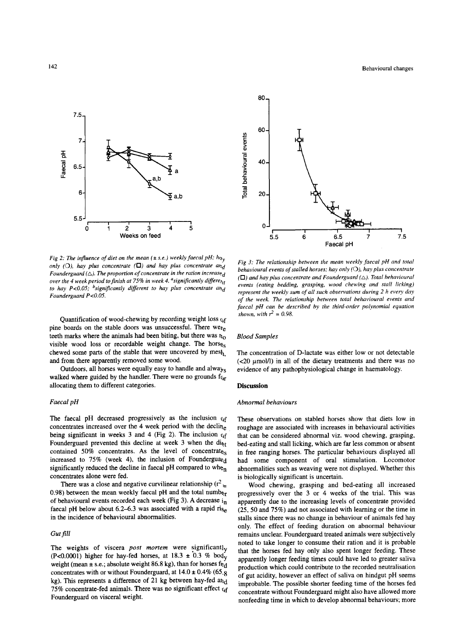

*Fig 2: The influence of diet on the mean* ( $\pm$  s.e.) weekly faecal pH; ha<sub>y</sub> *only (O), hay plus concentrate*  $(\Box)$  *and hay plus concentrate and Founderguard*  $(\triangle)$ . The proportion of concentrate in the ration increase<sub>d</sub> *over the 4 week period to finish at 75% in week 4. <sup>a</sup>significantly differe<sub>nt</sub> to hay P<0.05; <sup>b</sup>significantly different to hay plus concentrate and Founderguard P<O.O5.* 

Quantification of wood-chewing by recording weight loss  $\mathfrak{c}_\mathfrak{f}$ pine boards on the stable doors was unsuccessful. There were teeth marks where the animals had been biting, but there was  $n<sub>0</sub>$ visible wood loss or recordable weight change. The horses chewed some parts of the stable that were uncovered by mesh and from there apparently removed some wood.

Outdoors, **all** horses were equally easy to handle and always walked where guided by the handler. There were no grounds  $f_{0r}$ allocating them to different categories.

## *Faecal pH*

The faecal pH decreased progressively as the inclusion  $\alpha$ f concentrates increased over the **4** week period with the decliqe being significant in weeks 3 and 4 (Fig 2). The inclusion  $\epsilon_{\text{sf}}$ Founderguard prevented this decline at week 3 when the di<sub>ct</sub> contained 50% concentrates. As the level of concentrates increased to 75% (week 4), the inclusion of Founderguard significantly reduced the decline in faecal pH compared to whe<sub>n</sub> concentrates alone were fed.

There was a close and negative curvilinear relationship ( $r^2$ 0.98) between the mean weekly faecal pH and the total numb $_{\text{6r}}$ of behavioural events recorded each week (Fig 3). A decrease  $i_n$ faecal pH below about 6.2–6.3 was associated with a rapid rise in the incidence of behavioural abnormalities.

# *Gut fill*

The weights of viscera *post mortem* were significantly **(P**<0.0001) higher for hay-fed horses, at  $18.3 \pm 0.3$  % bod<sub>y</sub> weight (mean ± s.e.; absolute weight 86.8 kg), than for horses fed concentrates with or without Founderguard, at  $14.0 \pm 0.4\%$  (65.8) kg). This represents a difference of 21 kg between hay-fed **mid**  75% concentrate-fed animals. There was no significant effect  $\alpha$ f Founderguard on visceral weight.



*Fig 3: The relationship between the mean weekly faecal pH and total behavioural events* of *stalled horses: hay only (0), hay plus concentrate*   $(D)$  *and hay plus concentrate and Founderguard*  $(\triangle)$ . *Total behavioural events (eating bedding, grasping, wood chewing and stall licking) represent the weekly sum of all such observations during 2 h every day of the week. The relationship between total behavioural events and*  faecal pH can be described by the third-order polynomial equation *shown, with*  $r^2 = 0.98$ .

#### *Blood Samples*

The concentration of D-lactate was either low or not detectable (<20  $\mu$ mol/l) in all of the dietary treatments and there was no evidence of any pathophysiological change in haematology.

## **Discussion**

## *Abnormal behaviours*

These observations on stabled horses show that diets low in roughage are associated with increases in behavioural activities that can be considered abnormal viz. wood chewing, grasping, bed-eating and stall licking, which are far less common or absent in free ranging horses. The particular behaviours displayed all had some component of oral stimulation. Locomotor abnormalities such as weaving were not displayed. Whether this is biologically significant is uncertain.

Wood chewing, grasping and bed-eating all increased progressively over the 3 or **4** weeks of the trial. This was apparently due to the increasing levels of concentrate provided **(25,** 50 and **75%)** and not associated with learning or the time in stalls since there was no change in behaviour of animals fed hay only. The effect of feeding duration on abnormal behaviour remains unclear. Founderguard treated animals were subjectively noted to **take** longer to consume their ration and it is probable that the horses fed hay only also spent longer feeding. These apparently longer feeding times could have led to greater saliva production which could contribute to the recorded neutralisation of gut acidity, however an effect of saliva on hindgut pH seems improbable. The possible shorter feeding time of the horses fed concentrate without Founderguard might also have allowed more nonfeeding time in which to develop abnormal behaviours; more